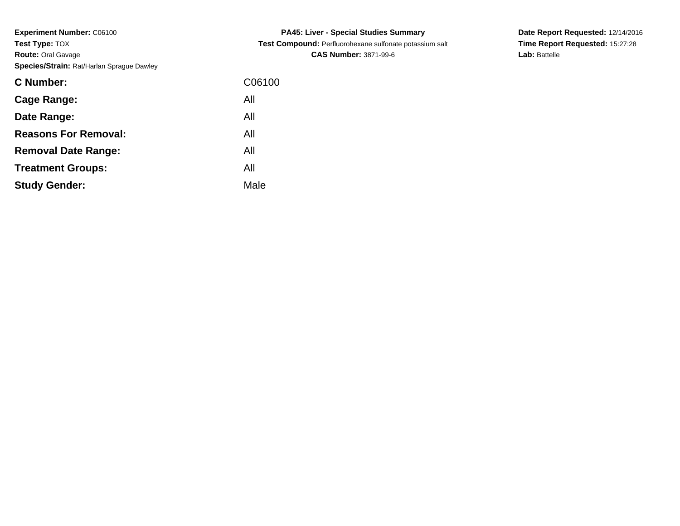**Experiment Number:** C06100**Test Type:** TOX **Route:** Oral Gavage**Species/Strain:** Rat/Harlan Sprague Dawley

| C Number:                   | C06100 |
|-----------------------------|--------|
| Cage Range:                 | All    |
| Date Range:                 | All    |
| <b>Reasons For Removal:</b> | All    |
| <b>Removal Date Range:</b>  | All    |
| <b>Treatment Groups:</b>    | All    |
| <b>Study Gender:</b>        | Male   |
|                             |        |

**PA45: Liver - Special Studies Summary Test Compound:** Perfluorohexane sulfonate potassium salt**CAS Number:** 3871-99-6

**Date Report Requested:** 12/14/2016**Time Report Requested:** 15:27:28**Lab:** Battelle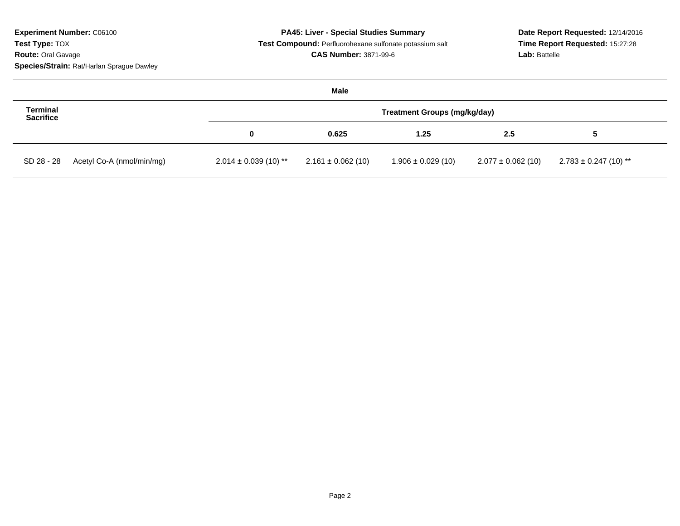| <b>Experiment Number: C06100</b>          | PA45: Liver - Special Studies Summary |                                                                                         |                        |                        | Date Report Requested: 12/14/2016<br>Time Report Requested: 15:27:28<br>Lab: Battelle |  |
|-------------------------------------------|---------------------------------------|-----------------------------------------------------------------------------------------|------------------------|------------------------|---------------------------------------------------------------------------------------|--|
| Test Type: TOX                            |                                       | Test Compound: Perfluorohexane sulfonate potassium salt<br><b>CAS Number: 3871-99-6</b> |                        |                        |                                                                                       |  |
| <b>Route: Oral Gavage</b>                 |                                       |                                                                                         |                        |                        |                                                                                       |  |
| Species/Strain: Rat/Harlan Sprague Dawley |                                       |                                                                                         |                        |                        |                                                                                       |  |
|                                           |                                       | Male                                                                                    |                        |                        |                                                                                       |  |
| <b>Terminal</b><br><b>Sacrifice</b>       | Treatment Groups (mg/kg/day)          |                                                                                         |                        |                        |                                                                                       |  |
|                                           | 0                                     | 0.625                                                                                   | 1.25                   | 2.5                    | 5                                                                                     |  |
| Acetyl Co-A (nmol/min/mg)<br>SD 28 - 28   | $2.014 \pm 0.039$ (10) **             | $2.161 \pm 0.062$ (10)                                                                  | $1.906 \pm 0.029$ (10) | $2.077 \pm 0.062$ (10) | $2.783 \pm 0.247$ (10) **                                                             |  |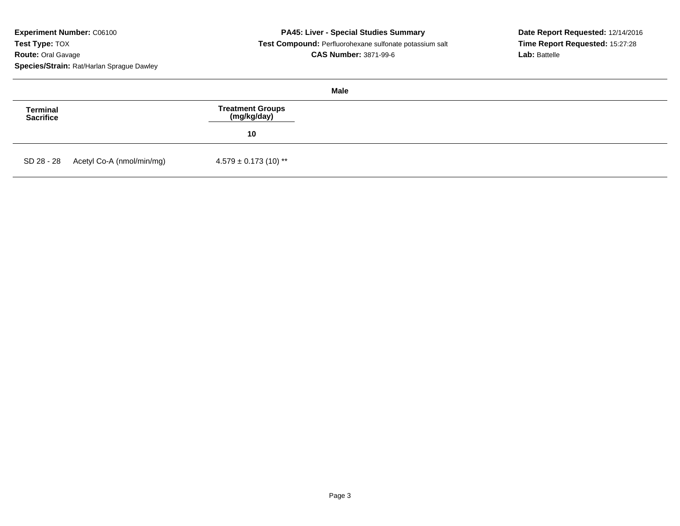**Experiment Number:** C06100**Test Type:** TOX **Route:** Oral Gavage**Species/Strain:** Rat/Harlan Sprague Dawley

| Male                         |                                      |                                 |  |  |
|------------------------------|--------------------------------------|---------------------------------|--|--|
| <b>Terminal</b><br>Sacrifice |                                      | Treatment Groups<br>(mg/kg/day) |  |  |
|                              |                                      | 10                              |  |  |
|                              | SD 28 - 28 Acetyl Co-A (nmol/min/mg) | $4.579 \pm 0.173$ (10) **       |  |  |